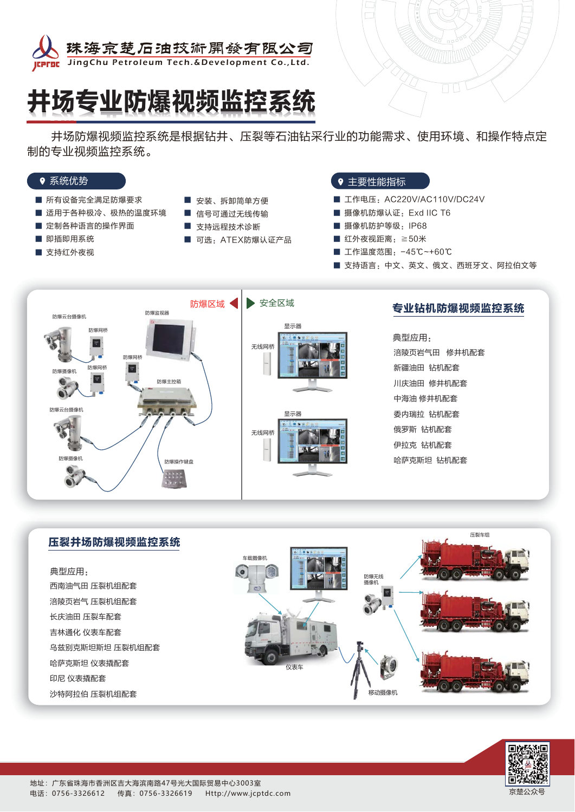

# 井场专业防爆视频监控系统

— 井场防爆视频监控系统是根据钻井、压裂等石油钻采行业的功能需求、使用环境、和操作特点定 制的专业视频监控系统。